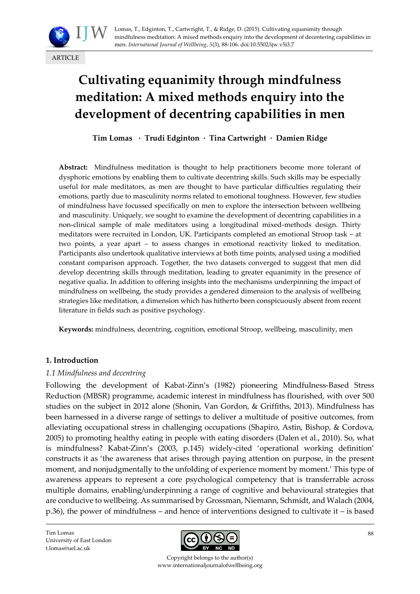

# **Cultivating equanimity through mindfulness meditation: A mixed methods enquiry into the development of decentring capabilities in men**

**Tim Lomas · Trudi Edginton · Tina Cartwright · Damien Ridge**

**Abstract:** Mindfulness meditation is thought to help practitioners become more tolerant of dysphoric emotions by enabling them to cultivate decentring skills. Such skills may be especially useful for male meditators, as men are thought to have particular difficulties regulating their emotions, partly due to masculinity norms related to emotional toughness. However, few studies of mindfulness have focussed specifically on men to explore the intersection between wellbeing and masculinity. Uniquely, we sought to examine the development of decentring capabilities in a non-clinical sample of male meditators using a longitudinal mixed-methods design. Thirty meditators were recruited in London, UK. Participants completed an emotional Stroop task – at two points, a year apart – to assess changes in emotional reactivity linked to meditation. Participants also undertook qualitative interviews at both time points, analysed using a modified constant comparison approach. Together, the two datasets converged to suggest that men did develop decentring skills through meditation, leading to greater equanimity in the presence of negative qualia. In addition to offering insights into the mechanisms underpinning the impact of mindfulness on wellbeing, the study provides a gendered dimension to the analysis of wellbeing strategies like meditation, a dimension which has hitherto been conspicuously absent from recent literature in fields such as positive psychology.

**Keywords:** mindfulness, decentring, cognition, emotional Stroop, wellbeing, masculinity, men

## **1. Introduction**

## *1.1 Mindfulness and decentring*

Following the development of Kabat-[Zinn's \(1982](#page-17-0)) pioneering Mindfulness-Based Stress Reduction (MBSR) programme, academic interest in mindfulness has flourished, with over 500 studies on the subject in 2012 alone (Shonin, [Van Gordon, & Griffiths, 2013\)](#page-18-0). Mindfulness has been harnessed in a diverse range of settings to deliver a multitude of positive outcomes, from alleviating occupational stress in challenging occupations [\(Shapiro, Astin, Bishop, & Cordova,](#page-18-1)  [2005\)](#page-18-1) to promoting healthy eating in people with eating disorders [\(Dalen et al., 2010\)](#page-16-0). So, what is mindfulness? Kabat-[Zinn's \(2003](#page-17-1), p.145) widely-cited 'operational working definition' constructs it as 'the awareness that arises through paying attention on purpose, in the present moment, and nonjudgmentally to the unfolding of experience moment by moment.' This type of awareness appears to represent a core psychological competency that is transferrable across multiple domains, enabling/underpinning a range of cognitive and behavioural strategies that are conducive to wellbeing. As summarised by [Grossman, Niemann, Schmidt, and Walach \(2004,](#page-16-1) p.36), the power of mindfulness – and hence of interventions designed to cultivate it – is based

Tim Lomas University of East London [t.lomas@uel.ac.uk](mailto:t.lomas@uel.ac.uk)



Copyright belongs to the author(s) www.internationaljournalofwellbeing.org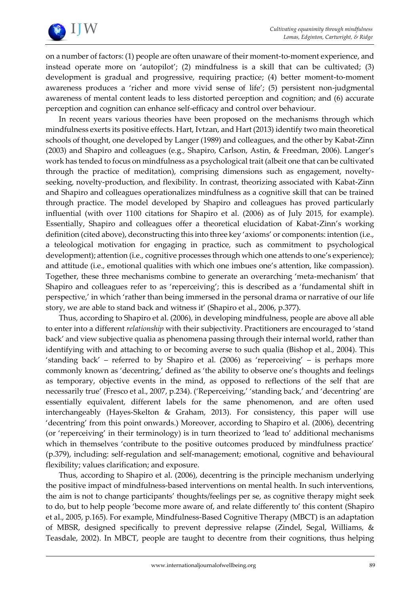

on a number of factors: (1) people are often unaware of their moment-to-moment experience, and instead operate more on 'autopilot'; (2) mindfulness is a skill that can be cultivated; (3) development is gradual and progressive, requiring practice; (4) better moment-to-moment awareness produces a 'richer and more vivid sense of life'; (5) persistent non-judgmental awareness of mental content leads to less distorted perception and cognition; and (6) accurate perception and cognition can enhance self-efficacy and control over behaviour.

In recent years various theories have been proposed on the mechanisms through which mindfulness exerts its positive effects. Hart, Ivtzan, and Hart (2013) identify two main theoretical schools of thought, one developed by Langer (1989) and colleagues, and the other by Kabat-Zinn (2003) and Shapiro and colleagues (e.g., Shapiro, Carlson, Astin, & Freedman, 2006). Langer's work has tended to focus on mindfulness as a psychological trait (albeit one that can be cultivated through the practice of meditation), comprising dimensions such as engagement, noveltyseeking, novelty-production, and flexibility. In contrast, theorizing associated with Kabat-Zinn and Shapiro and colleagues operationalizes mindfulness as a cognitive skill that can be trained through practice. The model developed by Shapiro and colleagues has proved particularly influential (with over 1100 citations for Shapiro et al. (2006) as of July 2015, for example). Essentially, Shapiro and colleagues offer a theoretical elucidation of Kabat-Zinn's working definition (cited above), deconstructing this into three key 'axioms' or components: intention (i.e., a teleological motivation for engaging in practice, such as commitment to psychological development); attention (i.e., cognitive processes through which one attends to one's experience); and attitude (i.e., emotional qualities with which one imbues one's attention, like compassion). Together, these three mechanisms combine to generate an overarching 'meta-mechanism' that Shapiro and colleagues refer to as 'reperceiving'; this is described as a 'fundamental shift in perspective,' in which 'rather than being immersed in the personal drama or narrative of our life story, we are able to stand back and witness it' (Shapiro et al., 2006, p.377).

Thus, according to Shapiro et al. (2006), in developing mindfulness, people are above all able to enter into a different *relationship* with their subjectivity. Practitioners are encouraged to 'stand back' and view subjective qualia as phenomena passing through their internal world, rather than identifying with and attaching to or becoming averse to such qualia [\(Bishop et al., 2004\)](#page-16-2). This 'standing back' – referred to by Shapiro et al. (2006) as 'reperceiving' – is perhaps more commonly known as 'decentring,' defined as 'the ability to observe one's thoughts and feelings as temporary, objective events in the mind, as opposed to reflections of the self that are necessarily true' [\(Fresco et al., 2007,](#page-16-3) p.234). ('Reperceiving,' 'standing back,' and 'decentring' are essentially equivalent, different labels for the same phenomenon, and are often used interchangeably [\(Hayes-Skelton & Graham, 2013\)](#page-15-0). For consistency, this paper will use 'decentring' from this point onwards.) Moreover, according to Shapiro et al. (2006), decentring (or 'reperceiving' in their terminology) is in turn theorized to 'lead to' additional mechanisms which in themselves 'contribute to the positive outcomes produced by mindfulness practice' (p.379), including: self-regulation and self-management; emotional, cognitive and behavioural flexibility; values clarification; and exposure.

Thus, according to Shapiro et al. (2006), decentring is the principle mechanism underlying the positive impact of mindfulness-based interventions on mental health. In such interventions, the aim is not to change participants' thoughts/feelings per se, as cognitive therapy might seek to do, but to help people 'become more aware of, and relate differently to' this content [\(Shapiro](#page-18-1)  [et al., 2005,](#page-18-1) p.165). For example, Mindfulness-Based Cognitive Therapy (MBCT) is an adaptation of MBSR, designed specifically to prevent depressive relapse [\(Zindel, Segal, Williams, &](#page-18-2)  [Teasdale, 2002\)](#page-18-2). In MBCT, people are taught to decentre from their cognitions, thus helping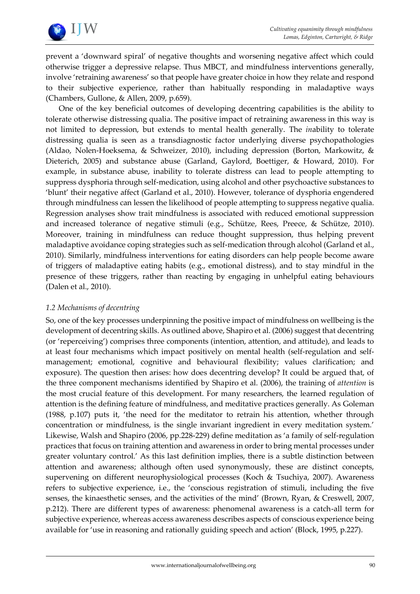

prevent a 'downward spiral' of negative thoughts and worsening negative affect which could otherwise trigger a depressive relapse. Thus MBCT, and mindfulness interventions generally, involve 'retraining awareness' so that people have greater choice in how they relate and respond to their subjective experience, rather than habitually responding in maladaptive ways [\(Chambers, Gullone,](#page-16-4) & Allen, 2009, p.659).

One of the key beneficial outcomes of developing decentring capabilities is the ability to tolerate otherwise distressing qualia. The positive impact of retraining awareness in this way is not limited to depression, but extends to mental health generally. The *in*ability to tolerate distressing qualia is seen as a transdiagnostic factor underlying diverse psychopathologies [\(Aldao, Nolen-Hoeksema, & Schweizer, 2010\)](#page-15-1), including depression [\(Borton, Markowitz, &](#page-16-5)  [Dieterich, 2005\)](#page-16-5) and substance abuse (Garland, Gaylord, [Boettiger, & Howard, 2010\)](#page-16-6). For example, in substance abuse, inability to tolerate distress can lead to people attempting to suppress dysphoria through self-medication, using alcohol and other psychoactive substances to 'blunt' their negative affect [\(Garland et al., 2010\)](#page-16-6). However, tolerance of dysphoria engendered through mindfulness can lessen the likelihood of people attempting to suppress negative qualia. Regression analyses show trait mindfulness is associated with reduced emotional suppression and increased tolerance of negative stimuli (e.g., [Schütze, Rees, Preece, & Schütze, 2010\)](#page-18-3). Moreover, training in mindfulness can reduce thought suppression, thus helping prevent maladaptive avoidance coping strategies such as self-medication through alcohol [\(Garland et al.,](#page-16-6)  [2010\)](#page-16-6). Similarly, mindfulness interventions for eating disorders can help people become aware of triggers of maladaptive eating habits (e.g., emotional distress), and to stay mindful in the presence of these triggers, rather than reacting by engaging in unhelpful eating behaviours [\(Dalen et al., 2010\)](#page-16-0).

# *1.2 Mechanisms of decentring*

So, one of the key processes underpinning the positive impact of mindfulness on wellbeing is the development of decentring skills. As outlined above, Shapiro et al. (2006) suggest that decentring (or 'reperceiving') comprises three components (intention, attention, and attitude), and leads to at least four mechanisms which impact positively on mental health (self-regulation and selfmanagement; emotional, cognitive and behavioural flexibility; values clarification; and exposure). The question then arises: how does decentring develop? It could be argued that, of the three component mechanisms identified by Shapiro et al. (2006), the training of *attention* is the most crucial feature of this development. For many researchers, the learned regulation of attention is the defining feature of mindfulness, and meditative practices generally. As [Goleman](#page-16-7)  [\(1988,](#page-16-7) p.107) puts it, 'the need for the meditator to retrain his attention, whether through concentration or mindfulness, is the single invariant ingredient in every meditation system.' Likewise, [Walsh and Shapiro \(2006,](#page-18-4) pp.228-229) define meditation as 'a family of self-regulation practices that focus on training attention and awareness in order to bring mental processes under greater voluntary control.' As this last definition implies, there is a subtle distinction between attention and awareness; although often used synonymously, these are distinct concepts, supervening on different neurophysiological processes [\(Koch & Tsuchiya, 2007\)](#page-17-2). Awareness refers to subjective experience, i.e., the 'conscious registration of stimuli, including the five senses, the kinaesthetic senses, and the activities of the mind' [\(Brown, Ryan, & Creswell, 2007,](#page-16-8) p.212). There are different types of awareness: phenomenal awareness is a catch-all term for subjective experience, whereas access awareness describes aspects of conscious experience being available for 'use in reasoning and rationally guiding speech and action' [\(Block, 1995,](#page-16-9) p.227).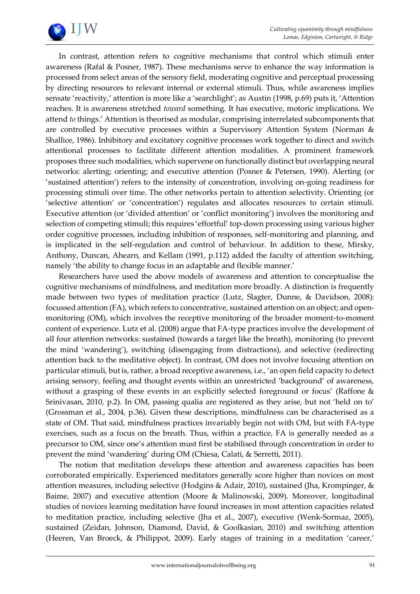

In contrast, attention refers to cognitive mechanisms that control which stimuli enter awareness [\(Rafal & Posner, 1987\)](#page-18-5). These mechanisms serve to enhance the way information is processed from select areas of the sensory field, moderating cognitive and perceptual processing by directing resources to relevant internal or external stimuli. Thus, while awareness implies sensate 'reactivity,' attention is more like a 'searchlight'; as [Austin \(1998,](#page-15-2) p.69) puts it, 'Attention reaches. It is awareness stretched *toward* something. It has executive, motoric implications. We attend *to* things.' Attention is theorised as modular, comprising interrelated subcomponents that are controlled by executive processes within a Supervisory Attention System [\(Norman &](#page-17-3)  [Shallice, 1986\)](#page-17-3). Inhibitory and excitatory cognitive processes work together to direct and switch attentional processes to facilitate different attention modalities. A prominent framework proposes three such modalities, which supervene on functionally distinct but overlapping neural networks: alerting; orienting; and executive attention [\(Posner & Petersen, 1990\)](#page-18-6). Alerting (or 'sustained attention') refers to the intensity of concentration, involving on-going readiness for processing stimuli over time. The other networks pertain to attention selectivity. Orienting (or 'selective attention' or 'concentration') regulates and allocates resources to certain stimuli. Executive attention (or 'divided attention' or 'conflict monitoring') involves the monitoring and selection of competing stimuli; this requires 'effortful' top-down processing using various higher order cognitive processes, including inhibition of responses, self-monitoring and planning, and is implicated in the self-regulation and control of behaviour. In addition to these, [Mirsky,](#page-17-4)  [Anthony, Duncan, Ahearn, and Kellam \(1991,](#page-17-4) p.112) added the faculty of attention switching, namely 'the ability to change focus in an adaptable and flexible manner.'

Researchers have used the above models of awareness and attention to conceptualise the cognitive mechanisms of mindfulness, and meditation more broadly. A distinction is frequently made between two types of meditation practice [\(Lutz, Slagter, Dunne, & Davidson, 2008\)](#page-17-5): focussed attention (FA), which refers to concentrative, sustained attention on an object; and openmonitoring (OM), which involves the receptive monitoring of the broader moment-to-moment content of experience[. Lutz et al. \(2008\)](#page-17-5) argue that FA-type practices involve the development of all four attention networks: sustained (towards a target like the breath), monitoring (to prevent the mind 'wandering'), switching (disengaging from distractions), and selective (redirecting attention back to the meditative object). In contrast, OM does not involve focusing attention on particular stimuli, but is, rather, a broad receptive awareness, i.e., 'an open field capacity to detect arising sensory, feeling and thought events within an unrestricted 'background' of awareness, without a grasping of these events in an explicitly selected foreground or focus' [\(Raffone &](#page-18-7)  [Srinivasan, 2010,](#page-18-7) p.2). In OM, passing qualia are registered as they arise, but not 'held on to' [\(Grossman et al., 2004,](#page-16-1) p.36). Given these descriptions, mindfulness can be characterised as a state of OM. That said, mindfulness practices invariably begin not with OM, but with FA-type exercises, such as a focus on the breath. Thus, within a practice, FA is generally needed as a precursor to OM, since one's attention must first be stabilised through concentration in order to prevent the mind 'wandering' during OM [\(Chiesa, Calati, & Serretti, 2011\)](#page-16-10).

The notion that meditation develops these attention and awareness capacities has been corroborated empirically. Experienced meditators generally score higher than novices on most attention measures, including selective [\(Hodgins & Adair, 2010\)](#page-17-6), sustained [\(Jha, Krompinger, &](#page-17-7)  [Baime, 2007\)](#page-17-7) and executive attention [\(Moore & Malinowski, 2009\)](#page-17-8). Moreover, longitudinal studies of novices learning meditation have found increases in most attention capacities related to meditation practice, including selective [\(Jha et al., 2007\)](#page-17-7), executive [\(Wenk-Sormaz, 2005\)](#page-18-8), sustained [\(Zeidan, Johnson, Diamond, David, & Goolkasian, 2010\)](#page-18-9) and switching attention [\(Heeren, Van Broeck, & Philippot, 2009\)](#page-17-9). Early stages of training in a meditation 'career,'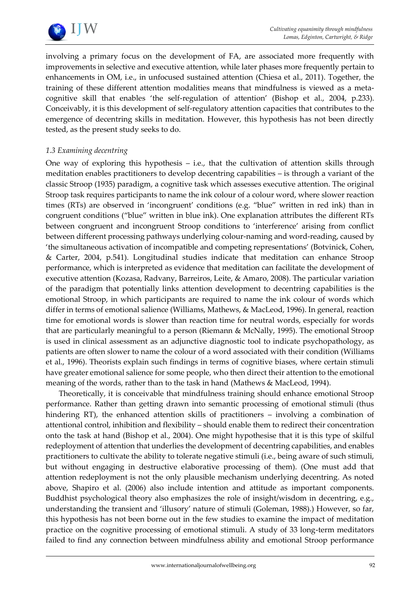

involving a primary focus on the development of FA, are associated more frequently with improvements in selective and executive attention, while later phases more frequently pertain to enhancements in OM, i.e., in unfocused sustained attention [\(Chiesa et al., 2011\)](#page-16-10). Together, the training of these different attention modalities means that mindfulness is viewed as a metacognitive skill that enables 'the self-regulation of attention' [\(Bishop et al., 2004,](#page-16-2) p.233). Conceivably, it is this development of self-regulatory attention capacities that contributes to the emergence of decentring skills in meditation. However, this hypothesis has not been directly tested, as the present study seeks to do.

# *1.3 Examining decentring*

One way of exploring this hypothesis – i.e., that the cultivation of attention skills through meditation enables practitioners to develop decentring capabilities – is through a variant of the classic [Stroop \(1935\)](#page-18-10) paradigm, a cognitive task which assesses executive attention. The original Stroop task requires participants to name the ink colour of a colour word, where slower reaction times (RTs) are observed in 'incongruent' conditions (e.g. "blue" written in red ink) than in congruent conditions ("blue" written in blue ink). One explanation attributes the different RTs between congruent and incongruent Stroop conditions to 'interference' arising from conflict between different processing pathways underlying colour-naming and word-reading, caused by 'the simultaneous activation of incompatible and competing representations' [\(Botvinick, Cohen,](#page-16-11)  [& Carter, 2004,](#page-16-11) p.541). Longitudinal studies indicate that meditation can enhance Stroop performance, which is interpreted as evidence that meditation can facilitate the development of executive attention [\(Kozasa, Radvany, Barreiros, Leite, & Amaro, 2008\)](#page-17-10). The particular variation of the paradigm that potentially links attention development to decentring capabilities is the emotional Stroop, in which participants are required to name the ink colour of words which differ in terms of emotional salience [\(Williams, Mathews, & MacLeod, 1996\)](#page-18-11). In general, reaction time for emotional words is slower than reaction time for neutral words, especially for words that are particularly meaningful to a person [\(Riemann & McNally, 1995\)](#page-18-12). The emotional Stroop is used in clinical assessment as an adjunctive diagnostic tool to indicate psychopathology, as patients are often slower to name the colour of a word associated with their condition [\(Williams](#page-18-11)  [et al., 1996\)](#page-18-11). Theorists explain such findings in terms of cognitive biases, where certain stimuli have greater emotional salience for some people, who then direct their attention to the emotional meaning of the words, rather than to the task in hand [\(Mathews & MacLeod, 1994\)](#page-17-11).

Theoretically, it is conceivable that mindfulness training should enhance emotional Stroop performance. Rather than getting drawn into semantic processing of emotional stimuli (thus hindering RT), the enhanced attention skills of practitioners – involving a combination of attentional control, inhibition and flexibility – should enable them to redirect their concentration onto the task at hand [\(Bishop et al., 2004\)](#page-16-2). One might hypothesise that it is this type of skilful redeployment of attention that underlies the development of decentring capabilities, and enables practitioners to cultivate the ability to tolerate negative stimuli (i.e., being aware of such stimuli, but without engaging in destructive elaborative processing of them). (One must add that attention redeployment is not the only plausible mechanism underlying decentring. As noted above, Shapiro et al. (2006) also include intention and attitude as important components. Buddhist psychological theory also emphasizes the role of insight/wisdom in decentring, e.g., understanding the transient and 'illusory' nature of stimuli (Goleman, 1988).) However, so far, this hypothesis has not been borne out in the few studies to examine the impact of meditation practice on the cognitive processing of emotional stimuli. A study of 33 long-term meditators failed to find any connection between mindfulness ability and emotional Stroop performance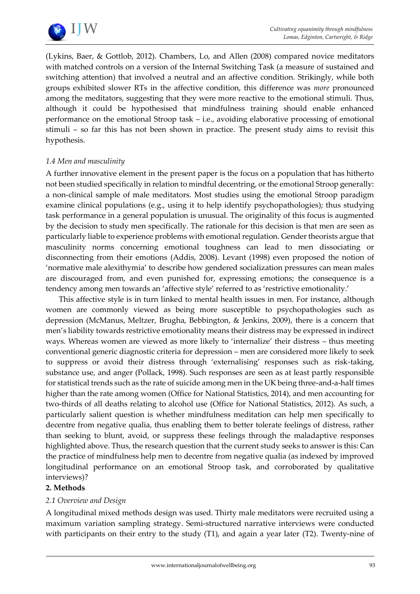

[\(Lykins, Baer, & Gottlob, 2012\)](#page-17-12). [Chambers, Lo, and Allen \(2008\)](#page-16-12) compared novice meditators with matched controls on a version of the Internal Switching Task (a measure of sustained and switching attention) that involved a neutral and an affective condition. Strikingly, while both groups exhibited slower RTs in the affective condition, this difference was *more* pronounced among the meditators, suggesting that they were more reactive to the emotional stimuli. Thus, although it could be hypothesised that mindfulness training should enable enhanced performance on the emotional Stroop task – i.e., avoiding elaborative processing of emotional stimuli – so far this has not been shown in practice. The present study aims to revisit this hypothesis.

# *1.4 Men and masculinity*

A further innovative element in the present paper is the focus on a population that has hitherto not been studied specifically in relation to mindful decentring, or the emotional Stroop generally: a non-clinical sample of male meditators. Most studies using the emotional Stroop paradigm examine clinical populations (e.g., using it to help identify psychopathologies); thus studying task performance in a general population is unusual. The originality of this focus is augmented by the decision to study men specifically. The rationale for this decision is that men are seen as particularly liable to experience problems with emotional regulation. Gender theorists argue that masculinity norms concerning emotional toughness can lead to men dissociating or disconnecting from their emotions [\(Addis, 2008\)](#page-15-0). [Levant \(1998\)](#page-17-13) even proposed the notion of 'normative male alexithymia' to describe how gendered socialization pressures can mean males are discouraged from, and even punished for, expressing emotions; the consequence is a tendency among men towards an 'affective style' referred to as 'restrictive emotionality.'

This affective style is in turn linked to mental health issues in men. For instance, although women are commonly viewed as being more susceptible to psychopathologies such as depression (McManus, Meltzer, Brugha, Bebbington, & Jenkins, 2009), there is a concern that men's liability towards restrictive emotionality means their distress may be expressed in indirect ways. Whereas women are viewed as more likely to 'internalize' their distress – thus meeting conventional generic diagnostic criteria for depression – men are considered more likely to seek to suppress or avoid their distress through 'externalising' responses such as risk-taking, substance use, and anger [\(Pollack, 1998\)](#page-18-13). Such responses are seen as at least partly responsible for statistical trends such as the rate of suicide among men in the UK being three-and-a-half times higher than the rate among women (Office for National [Statistics, 2014\)](#page-17-14), and men accounting for two-thirds of all deaths relating to alcohol use [\(Office for National Statistics, 2012\)](#page-17-15). As such, a particularly salient question is whether mindfulness meditation can help men specifically to decentre from negative qualia, thus enabling them to better tolerate feelings of distress, rather than seeking to blunt, avoid, or suppress these feelings through the maladaptive responses highlighted above. Thus, the research question that the current study seeks to answer is this: Can the practice of mindfulness help men to decentre from negative qualia (as indexed by improved longitudinal performance on an emotional Stroop task, and corroborated by qualitative interviews)?

## **2. Methods**

# *2.1 Overview and Design*

A longitudinal mixed methods design was used. Thirty male meditators were recruited using a maximum variation sampling strategy. Semi-structured narrative interviews were conducted with participants on their entry to the study (T1), and again a year later (T2). Twenty-nine of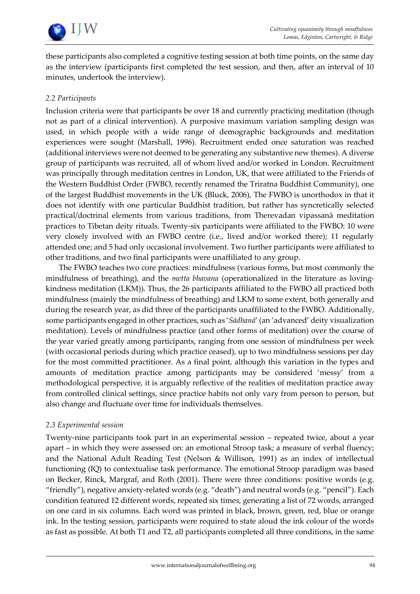

these participants also completed a cognitive testing session at both time points, on the same day as the interview (participants first completed the test session, and then, after an interval of 10 minutes, undertook the interview).

# *2.2 Participants*

Inclusion criteria were that participants be over 18 and currently practicing meditation (though not as part of a clinical intervention). A purposive maximum variation sampling design was used, in which people with a wide range of demographic backgrounds and meditation experiences were sought [\(Marshall, 1996\)](#page-17-16). Recruitment ended once saturation was reached (additional interviews were not deemed to be generating any substantive new themes). A diverse group of participants was recruited, all of whom lived and/or worked in London. Recruitment was principally through meditation centres in London, UK, that were affiliated to the Friends of the Western Buddhist Order (FWBO, recently renamed the Triratna Buddhist Community), one of the largest Buddhist movements in the UK (Bluck, 2006), The FWBO is unorthodox in that it does not identify with one particular Buddhist tradition, but rather has syncretically selected practical/doctrinal elements from various traditions, from Therevadan vipassanā meditation practices to Tibetan deity rituals. Twenty-six participants were affiliated to the FWBO: 10 were very closely involved with an FWBO centre (i.e., lived and/or worked there); 11 regularly attended one; and 5 had only occasional involvement. Two further participants were affiliated to other traditions, and two final participants were unaffiliated to any group.

The FWBO teaches two core practices: mindfulness (various forms, but most commonly the mindfulness of breathing), and the *metta bhavana* (operationalized in the literature as lovingkindness meditation (LKM)). Thus, the 26 participants affiliated to the FWBO all practiced both mindfulness (mainly the mindfulness of breathing) and LKM to some extent, both generally and during the research year, as did three of the participants unaffiliated to the FWBO. Additionally, some participants engaged in other practices, such as '*Sādhanā*' (an 'advanced' deity visualization meditation). Levels of mindfulness practice (and other forms of meditation) over the course of the year varied greatly among participants, ranging from one session of mindfulness per week (with occasional periods during which practice ceased), up to two mindfulness sessions per day for the most committed practitioner. As a final point, although this variation in the types and amounts of meditation practice among participants may be considered 'messy' from a methodological perspective, it is arguably reflective of the realities of meditation practice away from controlled clinical settings, since practice habits not only vary from person to person, but also change and fluctuate over time for individuals themselves.

## *2.3 Experimental session*

Twenty-nine participants took part in an experimental session – repeated twice, about a year apart – in which they were assessed on: an emotional Stroop task; a measure of verbal fluency; and the National Adult Reading Test [\(Nelson & Willison, 1991\)](#page-17-17) as an index of intellectual functioning (IQ) to contextualise task performance. The emotional Stroop paradigm was based on [Becker, Rinck, Margraf, and Roth \(2001\)](#page-16-13). There were three conditions: positive words (e.g. "friendly"), negative anxiety-related words (e.g. "death") and neutral words (e.g. "pencil"). Each condition featured 12 different words, repeated six times, generating a list of 72 words, arranged on one card in six columns. Each word was printed in black, brown, green, red, blue or orange ink. In the testing session, participants were required to state aloud the ink colour of the words as fast as possible. At both T1 and T2, all participants completed all three conditions, in the same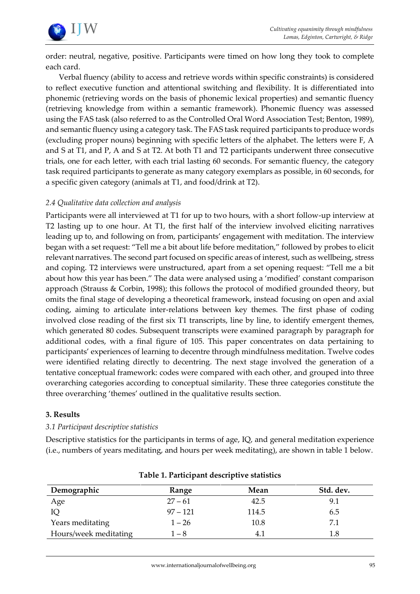

order: neutral, negative, positive. Participants were timed on how long they took to complete each card.

Verbal fluency (ability to access and retrieve words within specific constraints) is considered to reflect executive function and attentional switching and flexibility. It is differentiated into phonemic (retrieving words on the basis of phonemic lexical properties) and semantic fluency (retrieving knowledge from within a semantic framework). Phonemic fluency was assessed using the FAS task (also referred to as the Controlled Oral Word Association Test; [Benton, 1989\)](#page-15-0), and semantic fluency using a category task. The FAS task required participants to produce words (excluding proper nouns) beginning with specific letters of the alphabet. The letters were F, A and S at T1, and P, A and S at T2. At both T1 and T2 participants underwent three consecutive trials, one for each letter, with each trial lasting 60 seconds. For semantic fluency, the category task required participants to generate as many category exemplars as possible, in 60 seconds, for a specific given category (animals at T1, and food/drink at T2).

# *2.4 Qualitative data collection and analysis*

Participants were all interviewed at T1 for up to two hours, with a short follow-up interview at T2 lasting up to one hour. At T1, the first half of the interview involved eliciting narratives leading up to, and following on from, participants' engagement with meditation. The interview began with a set request: "Tell me a bit about life before meditation," followed by probes to elicit relevant narratives. The second part focused on specific areas of interest, such as wellbeing, stress and coping. T2 interviews were unstructured, apart from a set opening request: "Tell me a bit about how this year has been." The data were analysed using a 'modified' constant comparison approach [\(Strauss & Corbin, 1998\)](#page-18-14); this follows the protocol of modified grounded theory, but omits the final stage of developing a theoretical framework, instead focusing on open and axial coding, aiming to articulate inter-relations between key themes. The first phase of coding involved close reading of the first six T1 transcripts, line by line, to identify emergent themes, which generated 80 codes. Subsequent transcripts were examined paragraph by paragraph for additional codes, with a final figure of 105. This paper concentrates on data pertaining to participants' experiences of learning to decentre through mindfulness meditation. Twelve codes were identified relating directly to decentring. The next stage involved the generation of a tentative conceptual framework: codes were compared with each other, and grouped into three overarching categories according to conceptual similarity. These three categories constitute the three overarching 'themes' outlined in the qualitative results section.

## **3. Results**

# *3.1 Participant descriptive statistics*

Descriptive statistics for the participants in terms of age, IQ, and general meditation experience (i.e., numbers of years meditating, and hours per week meditating), are shown in table 1 below.

| Demographic           | Range      | Mean  | Std. dev. |
|-----------------------|------------|-------|-----------|
| Age                   | $27 - 61$  | 42.5  | 9.1       |
|                       | $97 - 121$ | 114.5 | 6.5       |
| Years meditating      | $1 - 26$   | 10.8  | 7.1       |
| Hours/week meditating | $1 - 8$    | 4.1   | 1.8       |

## **Table 1. Participant descriptive statistics**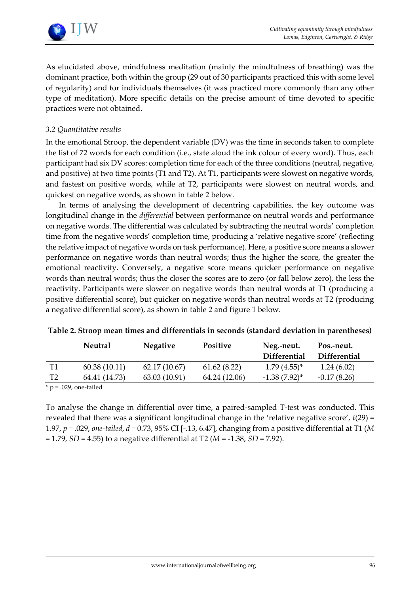



As elucidated above, mindfulness meditation (mainly the mindfulness of breathing) was the dominant practice, both within the group (29 out of 30 participants practiced this with some level of regularity) and for individuals themselves (it was practiced more commonly than any other type of meditation). More specific details on the precise amount of time devoted to specific practices were not obtained.

## *3.2 Quantitative results*

In the emotional Stroop, the dependent variable (DV) was the time in seconds taken to complete the list of 72 words for each condition (i.e., state aloud the ink colour of every word). Thus, each participant had six DV scores: completion time for each of the three conditions (neutral, negative, and positive) at two time points (T1 and T2). At T1, participants were slowest on negative words, and fastest on positive words, while at T2, participants were slowest on neutral words, and quickest on negative words, as shown in table 2 below.

In terms of analysing the development of decentring capabilities, the key outcome was longitudinal change in the *differential* between performance on neutral words and performance on negative words. The differential was calculated by subtracting the neutral words' completion time from the negative words' completion time, producing a 'relative negative score' (reflecting the relative impact of negative words on task performance). Here, a positive score means a slower performance on negative words than neutral words; thus the higher the score, the greater the emotional reactivity. Conversely, a negative score means quicker performance on negative words than neutral words; thus the closer the scores are to zero (or fall below zero), the less the reactivity. Participants were slower on negative words than neutral words at T1 (producing a positive differential score), but quicker on negative words than neutral words at T2 (producing a negative differential score), as shown in table 2 and figure 1 below.

|                | <b>Neutral</b> | <b>Negative</b> | <b>Positive</b> | Neg.-neut.<br><b>Differential</b> | Pos.-neut.<br><b>Differential</b> |
|----------------|----------------|-----------------|-----------------|-----------------------------------|-----------------------------------|
| T1             | 60.38(10.11)   | 62.17(10.67)    | 61.62(8.22)     | $1.79(4.55)^{*}$                  | 1.24(6.02)                        |
| T <sub>2</sub> | 64.41 (14.73)  | 63.03 (10.91)   | 64.24 (12.06)   | $-1.38(7.92)^{*}$                 | $-0.17(8.26)$                     |

| Table 2. Stroop mean times and differentials in seconds (standard deviation in parentheses) |  |  |  |
|---------------------------------------------------------------------------------------------|--|--|--|
|---------------------------------------------------------------------------------------------|--|--|--|

 $*$  p = .029, one-tailed

To analyse the change in differential over time, a paired-sampled T-test was conducted. This revealed that there was a significant longitudinal change in the 'relative negative score', *t*(29) = 1.97, *p* = .029, *one-tailed*, *d* = 0.73, 95% CI [-.13, 6.47], changing from a positive differential at T1 (*M*  = 1.79, *SD* = 4.55) to a negative differential at T2 (*M* = -1.38, *SD* = 7.92).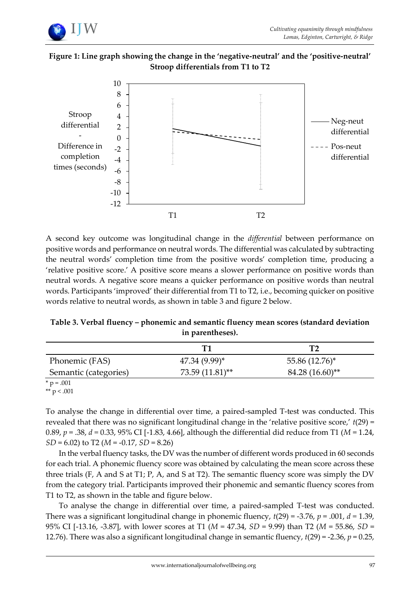

# **Figure 1: Line graph showing the change in the 'negative-neutral' and the 'positive-neutral' Stroop differentials from T1 to T2**



A second key outcome was longitudinal change in the *differential* between performance on positive words and performance on neutral words. The differential was calculated by subtracting the neutral words' completion time from the positive words' completion time, producing a 'relative positive score.' A positive score means a slower performance on positive words than neutral words. A negative score means a quicker performance on positive words than neutral words. Participants 'improved' their differential from T1 to T2, i.e., becoming quicker on positive words relative to neutral words, as shown in table 3 and figure 2 below.

**Table 3. Verbal fluency – phonemic and semantic fluency mean scores (standard deviation in parentheses).**

|                       | Т1                |                              |
|-----------------------|-------------------|------------------------------|
| Phonemic (FAS)        | $47.34(9.99)^{*}$ | 55.86 (12.76)*               |
| Semantic (categories) | $73.59(11.81)$ ** | $84.28(16.60)$ <sup>**</sup> |

 $*$  p = .001

\*\*  $p < .001$ 

To analyse the change in differential over time, a paired-sampled T-test was conducted. This revealed that there was no significant longitudinal change in the 'relative positive score,' *t*(29) = 0.89, *p* = .38, *d =* 0.33, 95% CI [-1.83, 4.66], although the differential did reduce from T1 (*M* = 1.24, *SD* = 6.02) to T2 (*M* = -0.17, *SD* = 8.26)

In the verbal fluency tasks, the DV was the number of different words produced in 60 seconds for each trial. A phonemic fluency score was obtained by calculating the mean score across these three trials (F, A and S at T1; P, A, and S at T2). The semantic fluency score was simply the DV from the category trial. Participants improved their phonemic and semantic fluency scores from T1 to T2, as shown in the table and figure below.

To analyse the change in differential over time, a paired-sampled T-test was conducted. There was a significant longitudinal change in phonemic fluency, *t*(29) = -3.76, *p* = .001, *d =* 1.39, 95% CI [-13.16, -3.87], with lower scores at T1 (*M* = 47.34, *SD* = 9.99) than T2 (*M* = 55.86, *SD* = 12.76). There was also a significant longitudinal change in semantic fluency, *t*(29) = -2.36, *p* = 0.25,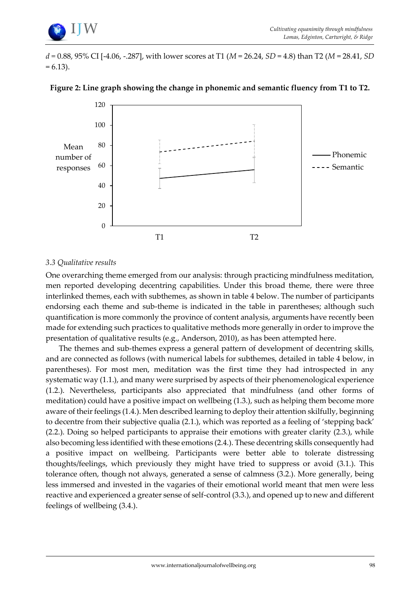

*d =* 0.88, 95% CI [-4.06, -.287], with lower scores at T1 (*M* = 26.24, *SD* = 4.8) than T2 (*M* = 28.41, *SD*   $= 6.13$ ).



#### **Figure 2: Line graph showing the change in phonemic and semantic fluency from T1 to T2.**

## *3.3 Qualitative results*

One overarching theme emerged from our analysis: through practicing mindfulness meditation, men reported developing decentring capabilities. Under this broad theme, there were three interlinked themes, each with subthemes, as shown in table 4 below. The number of participants endorsing each theme and sub-theme is indicated in the table in parentheses; although such quantification is more commonly the province of content analysis, arguments have recently been made for extending such practices to qualitative methods more generally in order to improve the presentation of qualitative results (e.g., Anderson, 2010), as has been attempted here.

The themes and sub-themes express a general pattern of development of decentring skills, and are connected as follows (with numerical labels for subthemes, detailed in table 4 below, in parentheses). For most men, meditation was the first time they had introspected in any systematic way (1.1.), and many were surprised by aspects of their phenomenological experience (1.2.). Nevertheless, participants also appreciated that mindfulness (and other forms of meditation) could have a positive impact on wellbeing (1.3.), such as helping them become more aware of their feelings (1.4.). Men described learning to deploy their attention skilfully, beginning to decentre from their subjective qualia (2.1.), which was reported as a feeling of 'stepping back' (2.2.). Doing so helped participants to appraise their emotions with greater clarity (2.3.), while also becoming less identified with these emotions (2.4.). These decentring skills consequently had a positive impact on wellbeing. Participants were better able to tolerate distressing thoughts/feelings, which previously they might have tried to suppress or avoid (3.1.). This tolerance often, though not always, generated a sense of calmness (3.2.). More generally, being less immersed and invested in the vagaries of their emotional world meant that men were less reactive and experienced a greater sense of self-control (3.3.), and opened up to new and different feelings of wellbeing (3.4.).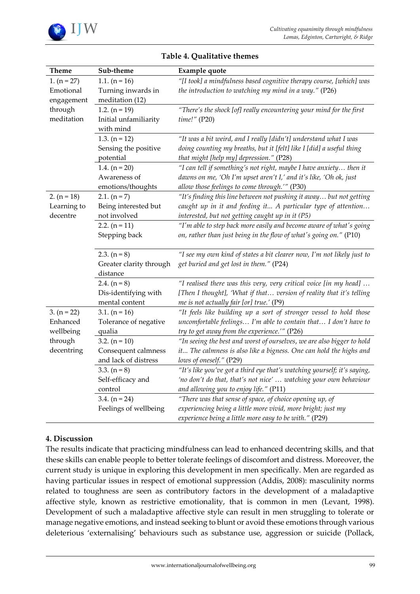

| <b>Theme</b>  | Sub-theme               | Example quote                                                            |
|---------------|-------------------------|--------------------------------------------------------------------------|
| 1. $(n = 27)$ | 1.1. $(n = 16)$         | "[I took] a mindfulness based cognitive therapy course, [which] was      |
| Emotional     | Turning inwards in      | the introduction to watching my mind in a way." (P26)                    |
| engagement    | meditation (12)         |                                                                          |
| through       | 1.2. $(n = 19)$         | "There's the shock [of] really encountering your mind for the first      |
| meditation    | Initial unfamiliarity   | time!" (P20)                                                             |
|               | with mind               |                                                                          |
|               | 1.3. $(n = 12)$         | "It was a bit weird, and I really [didn't] understand what I was         |
|               | Sensing the positive    | doing counting my breaths, but it [felt] like I [did] a useful thing     |
|               | potential               | that might [help my] depression." (P28)                                  |
|               | 1.4. $(n = 20)$         | "I can tell if something's not right, maybe I have anxiety then it       |
|               | Awareness of            | dawns on me, 'Oh I'm upset aren't I,' and it's like, 'Oh ok, just        |
|               | emotions/thoughts       | allow those feelings to come through.'" (P30)                            |
| 2. $(n = 18)$ | 2.1. $(n = 7)$          | "It's finding this line between not pushing it away but not getting      |
| Learning to   | Being interested but    | caught up in it and feeding it A particular type of attention            |
| decentre      | not involved            | interested, but not getting caught up in it (P5)                         |
|               | 2.2. $(n = 11)$         | "I'm able to step back more easily and become aware of what's going      |
|               | Stepping back           | on, rather than just being in the flow of what's going on." (P10)        |
|               |                         |                                                                          |
|               | 2.3. $(n = 8)$          | "I see my own kind of states a bit clearer now, I'm not likely just to   |
|               | Greater clarity through | get buried and get lost in them." (P24)                                  |
|               | distance                |                                                                          |
|               | 2.4. $(n = 8)$          | "I realised there was this very, very critical voice [in my head]        |
|               | Dis-identifying with    | [Then I thought], 'What if that version of reality that it's telling     |
|               | mental content          | me is not actually fair [or] true.' (P9)                                 |
| 3. $(n = 22)$ | 3.1. $(n = 16)$         | "It feels like building up a sort of stronger vessel to hold those       |
| Enhanced      | Tolerance of negative   | uncomfortable feelings I'm able to contain that I don't have to          |
| wellbeing     | qualia                  | try to get away from the experience."" (P26)                             |
| through       | 3.2. $(n = 10)$         | "In seeing the best and worst of ourselves, we are also bigger to hold   |
| decentring    | Consequent calmness     | it The calmness is also like a bigness. One can hold the highs and       |
|               | and lack of distress    | lows of oneself." (P29)                                                  |
|               | 3.3. $(n = 8)$          | "It's like you've got a third eye that's watching yourself; it's saying, |
|               | Self-efficacy and       | 'no don't do that, that's not nice'  watching your own behaviour         |
|               | control                 | and allowing you to enjoy life." (P11)                                   |
|               | 3.4. $(n = 24)$         | "There was that sense of space, of choice opening up, of                 |
|               | Feelings of wellbeing   | experiencing being a little more vivid, more bright; just my             |
|               |                         | experience being a little more easy to be with." (P29)                   |

# **Table 4. Qualitative themes**

## **4. Discussion**

The results indicate that practicing mindfulness can lead to enhanced decentring skills, and that these skills can enable people to better tolerate feelings of discomfort and distress. Moreover, the current study is unique in exploring this development in men specifically. Men are regarded as having particular issues in respect of emotional suppression [\(Addis, 2008\)](#page-15-0): masculinity norms related to toughness are seen as contributory factors in the development of a maladaptive affective style, known as restrictive emotionality, that is common in men [\(Levant, 1998\)](#page-17-13). Development of such a maladaptive affective style can result in men struggling to tolerate or manage negative emotions, and instead seeking to blunt or avoid these emotions through various deleterious 'externalising' behaviours such as substance use, aggression or suicide [\(Pollack,](#page-18-13)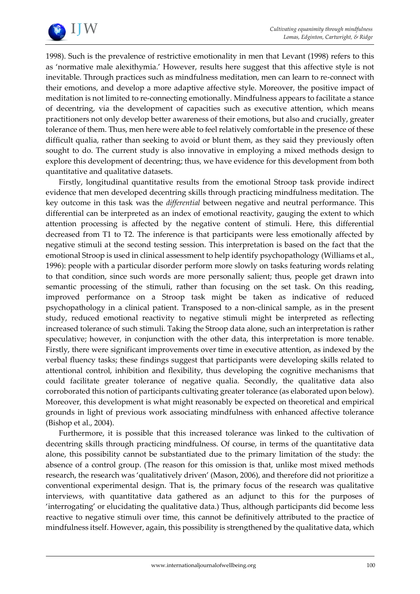

[1998\)](#page-18-13). Such is the prevalence of restrictive emotionality in men that [Levant \(1998\) r](#page-17-13)efers to this as 'normative male alexithymia.' However, results here suggest that this affective style is not inevitable. Through practices such as mindfulness meditation, men can learn to re-connect with their emotions, and develop a more adaptive affective style. Moreover, the positive impact of meditation is not limited to re-connecting emotionally. Mindfulness appears to facilitate a stance of decentring, via the development of capacities such as executive attention, which means practitioners not only develop better awareness of their emotions, but also and crucially, greater tolerance of them. Thus, men here were able to feel relatively comfortable in the presence of these difficult qualia, rather than seeking to avoid or blunt them, as they said they previously often sought to do. The current study is also innovative in employing a mixed methods design to explore this development of decentring; thus, we have evidence for this development from both quantitative and qualitative datasets.

Firstly, longitudinal quantitative results from the emotional Stroop task provide indirect evidence that men developed decentring skills through practicing mindfulness meditation. The key outcome in this task was the *differential* between negative and neutral performance. This differential can be interpreted as an index of emotional reactivity, gauging the extent to which attention processing is affected by the negative content of stimuli. Here, this differential decreased from T1 to T2. The inference is that participants were less emotionally affected by negative stimuli at the second testing session. This interpretation is based on the fact that the emotional Stroop is used in clinical assessment to help identify psychopathology [\(Williams et al.,](#page-18-11)  [1996\)](#page-18-11): people with a particular disorder perform more slowly on tasks featuring words relating to that condition, since such words are more personally salient; thus, people get drawn into semantic processing of the stimuli, rather than focusing on the set task. On this reading, improved performance on a Stroop task might be taken as indicative of reduced psychopathology in a clinical patient. Transposed to a non-clinical sample, as in the present study, reduced emotional reactivity to negative stimuli might be interpreted as reflecting increased tolerance of such stimuli. Taking the Stroop data alone, such an interpretation is rather speculative; however, in conjunction with the other data, this interpretation is more tenable. Firstly, there were significant improvements over time in executive attention, as indexed by the verbal fluency tasks; these findings suggest that participants were developing skills related to attentional control, inhibition and flexibility, thus developing the cognitive mechanisms that could facilitate greater tolerance of negative qualia. Secondly, the qualitative data also corroborated this notion of participants cultivating greater tolerance (as elaborated upon below). Moreover, this development is what might reasonably be expected on theoretical and empirical grounds in light of previous work associating mindfulness with enhanced affective tolerance [\(Bishop et al., 2004\)](#page-16-2).

Furthermore, it is possible that this increased tolerance was linked to the cultivation of decentring skills through practicing mindfulness. Of course, in terms of the quantitative data alone, this possibility cannot be substantiated due to the primary limitation of the study: the absence of a control group. (The reason for this omission is that, unlike most mixed methods research, the research was 'qualitatively driven' (Mason, 2006), and therefore did not prioritize a conventional experimental design. That is, the primary focus of the research was qualitative interviews, with quantitative data gathered as an adjunct to this for the purposes of 'interrogating' or elucidating the qualitative data.) Thus, although participants did become less reactive to negative stimuli over time, this cannot be definitively attributed to the practice of mindfulness itself. However, again, this possibility is strengthened by the qualitative data, which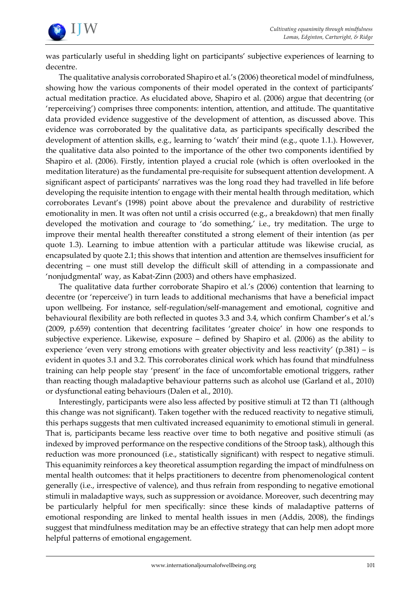

was particularly useful in shedding light on participants' subjective experiences of learning to decentre.

The qualitative analysis corroborated Shapiro et al.'s (2006) theoretical model of mindfulness, showing how the various components of their model operated in the context of participants' actual meditation practice. As elucidated above, Shapiro et al. (2006) argue that decentring (or 'reperceiving') comprises three components: intention, attention, and attitude. The quantitative data provided evidence suggestive of the development of attention, as discussed above. This evidence was corroborated by the qualitative data, as participants specifically described the development of attention skills, e.g., learning to 'watch' their mind (e.g., quote 1.1.). However, the qualitative data also pointed to the importance of the other two components identified by Shapiro et al. (2006). Firstly, intention played a crucial role (which is often overlooked in the meditation literature) as the fundamental pre-requisite for subsequent attention development. A significant aspect of participants' narratives was the long road they had travelled in life before developing the requisite intention to engage with their mental health through meditation, which corroborates [Levant's \(1998](#page-17-13)) point above about the prevalence and durability of restrictive emotionality in men. It was often not until a crisis occurred (e.g., a breakdown) that men finally developed the motivation and courage to 'do something,' i.e., try meditation. The urge to improve their mental health thereafter constituted a strong element of their intention (as per quote 1.3). Learning to imbue attention with a particular attitude was likewise crucial, as encapsulated by quote 2.1; this shows that intention and attention are themselves insufficient for decentring – one must still develop the difficult skill of attending in a compassionate and 'nonjudgmental' way, as Kabat-Zinn (2003) and others have emphasized.

The qualitative data further corroborate Shapiro et al.'s (2006) contention that learning to decentre (or 'reperceive') in turn leads to additional mechanisms that have a beneficial impact upon wellbeing. For instance, self-regulation/self-management and emotional, cognitive and behavioural flexibility are both reflected in quotes 3.3 and 3.4, which confirm Chamber's et al.'s (2009, p.659) contention that decentring facilitates 'greater choice' in how one responds to subjective experience. Likewise, exposure – defined by Shapiro et al. (2006) as the ability to experience 'even very strong emotions with greater objectivity and less reactivity'  $(p.381)$  – is evident in quotes 3.1 and 3.2. This corroborates clinical work which has found that mindfulness training can help people stay 'present' in the face of uncomfortable emotional triggers, rather than reacting though maladaptive behaviour patterns such as alcohol use [\(Garland et al., 2010\)](#page-16-6) or dysfunctional eating behaviours [\(Dalen et al., 2010\)](#page-16-0).

Interestingly, participants were also less affected by positive stimuli at T2 than T1 (although this change was not significant). Taken together with the reduced reactivity to negative stimuli, this perhaps suggests that men cultivated increased equanimity to emotional stimuli in general. That is, participants became less reactive over time to both negative and positive stimuli (as indexed by improved performance on the respective conditions of the Stroop task), although this reduction was more pronounced (i.e., statistically significant) with respect to negative stimuli. This equanimity reinforces a key theoretical assumption regarding the impact of mindfulness on mental health outcomes: that it helps practitioners to decentre from phenomenological content generally (i.e., irrespective of valence), and thus refrain from responding to negative emotional stimuli in maladaptive ways, such as suppression or avoidance. Moreover, such decentring may be particularly helpful for men specifically: since these kinds of maladaptive patterns of emotional responding are linked to mental health issues in men [\(Addis, 2008\)](#page-15-0), the findings suggest that mindfulness meditation may be an effective strategy that can help men adopt more helpful patterns of emotional engagement.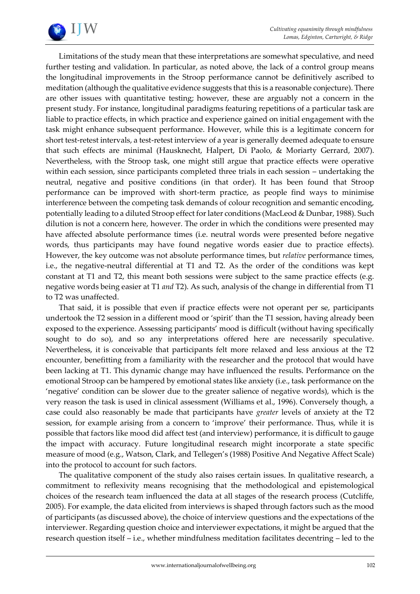

Limitations of the study mean that these interpretations are somewhat speculative, and need further testing and validation. In particular, as noted above, the lack of a control group means the longitudinal improvements in the Stroop performance cannot be definitively ascribed to meditation (although the qualitative evidence suggests that this is a reasonable conjecture). There are other issues with quantitative testing; however, these are arguably not a concern in the present study. For instance, longitudinal paradigms featuring repetitions of a particular task are liable to practice effects, in which practice and experience gained on initial engagement with the task might enhance subsequent performance. However, while this is a legitimate concern for short test-retest intervals, a test-retest interview of a year is generally deemed adequate to ensure that such effects are minimal [\(Hausknecht, Halpert, Di Paolo, & Moriarty Gerrard, 2007\)](#page-16-14). Nevertheless, with the Stroop task, one might still argue that practice effects were operative within each session, since participants completed three trials in each session – undertaking the neutral, negative and positive conditions (in that order). It has been found that Stroop performance can be improved with short-term practice, as people find ways to minimise interference between the competing task demands of colour recognition and semantic encoding, potentially leading to a diluted Stroop effect for later conditions [\(MacLeod & Dunbar, 1988\)](#page-17-18). Such dilution is not a concern here, however. The order in which the conditions were presented may have affected absolute performance times (i.e. neutral words were presented before negative words, thus participants may have found negative words easier due to practice effects). However, the key outcome was not absolute performance times, but *relative* performance times, i.e., the negative-neutral differential at T1 and T2. As the order of the conditions was kept constant at T1 and T2, this meant both sessions were subject to the same practice effects (e.g. negative words being easier at T1 *and* T2). As such, analysis of the change in differential from T1 to T2 was unaffected.

That said, it is possible that even if practice effects were not operant per se, participants undertook the T2 session in a different mood or 'spirit' than the T1 session, having already been exposed to the experience. Assessing participants' mood is difficult (without having specifically sought to do so), and so any interpretations offered here are necessarily speculative. Nevertheless, it is conceivable that participants felt more relaxed and less anxious at the T2 encounter, benefitting from a familiarity with the researcher and the protocol that would have been lacking at T1. This dynamic change may have influenced the results. Performance on the emotional Stroop can be hampered by emotional states like anxiety (i.e., task performance on the 'negative' condition can be slower due to the greater salience of negative words), which is the very reason the task is used in clinical assessment (Williams et al., 1996). Conversely though, a case could also reasonably be made that participants have *greater* levels of anxiety at the T2 session, for example arising from a concern to 'improve' their performance. Thus, while it is possible that factors like mood did affect test (and interview) performance, it is difficult to gauge the impact with accuracy. Future longitudinal research might incorporate a state specific measure of mood (e.g., Watson, Clark, and Tellegen's (1988) Positive And Negative Affect Scale) into the protocol to account for such factors.

The qualitative component of the study also raises certain issues. In qualitative research, a commitment to reflexivity means recognising that the methodological and epistemological choices of the research team influenced the data at all stages of the research process [\(Cutcliffe,](#page-16-15)  [2005\)](#page-16-15). For example, the data elicited from interviews is shaped through factors such as the mood of participants (as discussed above), the choice of interview questions and the expectations of the interviewer. Regarding question choice and interviewer expectations, it might be argued that the research question itself – i.e., whether mindfulness meditation facilitates decentring – led to the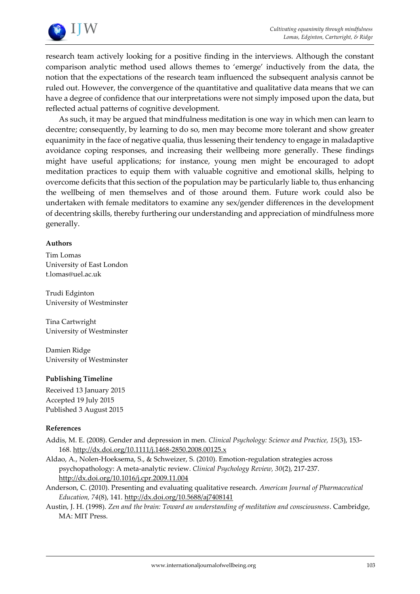

research team actively looking for a positive finding in the interviews. Although the constant comparison analytic method used allows themes to 'emerge' inductively from the data, the notion that the expectations of the research team influenced the subsequent analysis cannot be ruled out. However, the convergence of the quantitative and qualitative data means that we can have a degree of confidence that our interpretations were not simply imposed upon the data, but reflected actual patterns of cognitive development.

As such, it may be argued that mindfulness meditation is one way in which men can learn to decentre; consequently, by learning to do so, men may become more tolerant and show greater equanimity in the face of negative qualia, thus lessening their tendency to engage in maladaptive avoidance coping responses, and increasing their wellbeing more generally. These findings might have useful applications; for instance, young men might be encouraged to adopt meditation practices to equip them with valuable cognitive and emotional skills, helping to overcome deficits that this section of the population may be particularly liable to, thus enhancing the wellbeing of men themselves and of those around them. Future work could also be undertaken with female meditators to examine any sex/gender differences in the development of decentring skills, thereby furthering our understanding and appreciation of mindfulness more generally.

#### **Authors**

Tim Lomas University of East London [t.lomas@uel.ac.uk](mailto:t.lomas@uel.ac.uk)

Trudi Edginton University of Westminster

Tina Cartwright University of Westminster

Damien Ridge University of Westminster

## **Publishing Timeline**

Received 13 January 2015 Accepted 19 July 2015 Published 3 August 2015

#### **References**

- <span id="page-15-0"></span>Addis, M. E. (2008). Gender and depression in men. *Clinical Psychology: Science and Practice, 15*(3), 153- 168[. http://dx.doi.org/10.1111/j.1468-2850.2008.00125.x](http://dx.doi.org/10.1111/j.1468-2850.2008.00125.x)
- <span id="page-15-1"></span>Aldao, A., Nolen-Hoeksema, S., & Schweizer, S. (2010). Emotion-regulation strategies across psychopathology: A meta-analytic review. *Clinical Psychology Review, 30*(2), 217-237. <http://dx.doi.org/10.1016/j.cpr.2009.11.004>
- Anderson, C. (2010). Presenting and evaluating qualitative research. *American Journal of Pharmaceutical Education, 74*(8), 141.<http://dx.doi.org/10.5688/aj7408141>
- <span id="page-15-2"></span>Austin, J. H. (1998). *Zen and the brain: Toward an understanding of meditation and consciousness*. Cambridge, MA: MIT Press.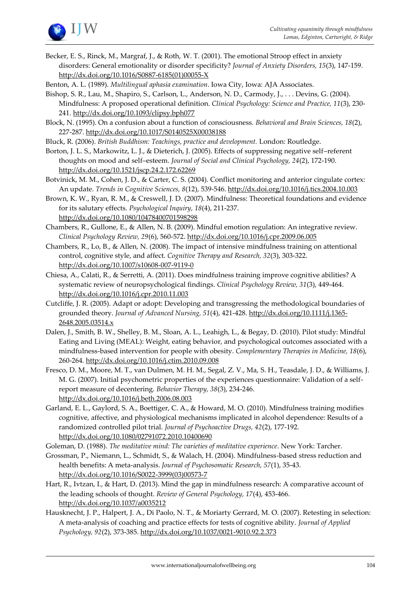

- <span id="page-16-13"></span>Becker, E. S., Rinck, M., Margraf, J., & Roth, W. T. (2001). The emotional Stroop effect in anxiety disorders: General emotionality or disorder specificity? *Journal of Anxiety Disorders, 15*(3), 147-159. [http://dx.doi.org/10.1016/S0887-6185\(01\)00055-X](http://dx.doi.org/10.1016/S0887-6185%2801%2900055-X)
- <span id="page-16-2"></span>Benton, A. L. (1989). *Multilingual aphasia examination*. Iowa City, Iowa: AJA Associates.
- Bishop, S. R., Lau, M., Shapiro, S., Carlson, L., Anderson, N. D., Carmody, J., . . . Devins, G. (2004). Mindfulness: A proposed operational definition. *Clinical Psychology: Science and Practice, 11*(3), 230- 241[. http://dx.doi.org/10.1093/clipsy.bph077](http://dx.doi.org/10.1093/clipsy.bph077)
- <span id="page-16-9"></span>Block, N. (1995). On a confusion about a function of consciousness. *Behavioral and Brain Sciences, 18*(2), 227-287. <http://dx.doi.org/10.1017/S0140525X00038188>
- Bluck, R. (2006). *British Buddhism: Teachings, practice and development.* London: Routledge.
- <span id="page-16-5"></span>Borton, J. L. S., Markowitz, L. J., & Dieterich, J. (2005). Effects of suppressing negative self–referent thoughts on mood and self–esteem. *Journal of Social and Clinical Psychology, 24*(2), 172-190. <http://dx.doi.org/10.1521/jscp.24.2.172.62269>
- <span id="page-16-11"></span>Botvinick, M. M., Cohen, J. D., & Carter, C. S. (2004). Conflict monitoring and anterior cingulate cortex: An update. *Trends in Cognitive Sciences, 8*(12), 539-546.<http://dx.doi.org/10.1016/j.tics.2004.10.003>
- <span id="page-16-8"></span>Brown, K. W., Ryan, R. M., & Creswell, J. D. (2007). Mindfulness: Theoretical foundations and evidence for its salutary effects. *Psychological Inquiry, 18*(4), 211-237. <http://dx.doi.org/10.1080/10478400701598298>
- <span id="page-16-4"></span>Chambers, R., Gullone, E., & Allen, N. B. (2009). Mindful emotion regulation: An integrative review. *Clinical Psychology Review, 29*(6), 560-572[. http://dx.doi.org/10.1016/j.cpr.2009.06.005](http://dx.doi.org/10.1016/j.cpr.2009.06.005)
- <span id="page-16-12"></span>Chambers, R., Lo, B., & Allen, N. (2008). The impact of intensive mindfulness training on attentional control, cognitive style, and affect. *Cognitive Therapy and Research, 32*(3), 303-322. <http://dx.doi.org/10.1007/s10608-007-9119-0>
- <span id="page-16-10"></span>Chiesa, A., Calati, R., & Serretti, A. (2011). Does mindfulness training improve cognitive abilities? A systematic review of neuropsychological findings. *Clinical Psychology Review, 31*(3), 449-464. <http://dx.doi.org/10.1016/j.cpr.2010.11.003>
- <span id="page-16-15"></span>Cutcliffe, J. R. (2005). Adapt or adopt: Developing and transgressing the methodological boundaries of grounded theory. *Journal of Advanced Nursing, 51*(4), 421-428. [http://dx.doi.org/10.1111/j.1365-](http://dx.doi.org/10.1111/j.1365-2648.2005.03514.x) [2648.2005.03514.x](http://dx.doi.org/10.1111/j.1365-2648.2005.03514.x)
- <span id="page-16-0"></span>Dalen, J., Smith, B. W., Shelley, B. M., Sloan, A. L., Leahigh, L., & Begay, D. (2010). Pilot study: Mindful Eating and Living (MEAL): Weight, eating behavior, and psychological outcomes associated with a mindfulness-based intervention for people with obesity. *Complementary Therapies in Medicine, 18*(6), 260-264[. http://dx.doi.org/10.1016/j.ctim.2010.09.008](http://dx.doi.org/10.1016/j.ctim.2010.09.008)
- <span id="page-16-3"></span>Fresco, D. M., Moore, M. T., van Dulmen, M. H. M., Segal, Z. V., Ma, S. H., Teasdale, J. D., & Williams, J. M. G. (2007). Initial psychometric properties of the experiences questionnaire: Validation of a selfreport measure of decentering. *Behavior Therapy, 38*(3), 234-246. <http://dx.doi.org/10.1016/j.beth.2006.08.003>
- <span id="page-16-6"></span>Garland, E. L., Gaylord, S. A., Boettiger, C. A., & Howard, M. O. (2010). Mindfulness training modifies cognitive, affective, and physiological mechanisms implicated in alcohol dependence: Results of a randomized controlled pilot trial. *Journal of Psychoactive Drugs, 42*(2), 177-192. <http://dx.doi.org/10.1080/02791072.2010.10400690>
- <span id="page-16-7"></span>Goleman, D. (1988). *The meditative mind: The varieties of meditative experience*. New York: Tarcher.
- <span id="page-16-1"></span>Grossman, P., Niemann, L., Schmidt, S., & Walach, H. (2004). Mindfulness-based stress reduction and health benefits: A meta-analysis. *Journal of Psychosomatic Research, 57*(1), 35-43. [http://dx.doi.org/10.1016/S0022-3999\(03\)00573-7](http://dx.doi.org/10.1016/S0022-3999%2803%2900573-7)
- Hart, R., Ivtzan, I., & Hart, D. (2013). Mind the gap in mindfulness research: A comparative account of the leading schools of thought. *Review of General Psychology, 17*(4), 453-466. <http://dx.doi.org/10.1037/a0035212>
- <span id="page-16-14"></span>Hausknecht, J. P., Halpert, J. A., Di Paolo, N. T., & Moriarty Gerrard, M. O. (2007). Retesting in selection: A meta-analysis of coaching and practice effects for tests of cognitive ability. *Journal of Applied Psychology, 92*(2), 373-385.<http://dx.doi.org/10.1037/0021-9010.92.2.373>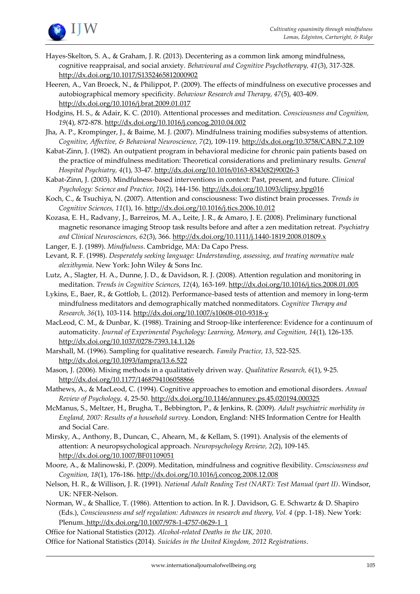

- Hayes-Skelton, S. A., & Graham, J. R. (2013). Decentering as a common link among mindfulness, cognitive reappraisal, and social anxiety. *Behavioural and Cognitive Psychotherapy, 41*(3), 317-328. <http://dx.doi.org/10.1017/S1352465812000902>
- <span id="page-17-9"></span>Heeren, A., Van Broeck, N., & Philippot, P. (2009). The effects of mindfulness on executive processes and autobiographical memory specificity. *Behaviour Research and Therapy, 47*(5), 403-409. <http://dx.doi.org/10.1016/j.brat.2009.01.017>
- <span id="page-17-6"></span>Hodgins, H. S., & Adair, K. C. (2010). Attentional processes and meditation. *Consciousness and Cognition, 19*(4), 872-878[. http://dx.doi.org/10.1016/j.concog.2010.04.002](http://dx.doi.org/10.1016/j.concog.2010.04.002)
- <span id="page-17-7"></span>Jha, A. P., Krompinger, J., & Baime, M. J. (2007). Mindfulness training modifies subsystems of attention. *Cognitive, Affective, & Behavioral Neuroscience, 7*(2), 109-119.<http://dx.doi.org/10.3758/CABN.7.2.109>
- <span id="page-17-0"></span>Kabat-Zinn, J. (1982). An outpatient program in behavioral medicine for chronic pain patients based on the practice of mindfulness meditation: Theoretical considerations and preliminary results. *General Hospital Psychiatry, 4*(1), 33-47. [http://dx.doi.org/10.1016/0163-8343\(82\)90026-3](http://dx.doi.org/10.1016/0163-8343%2882%2990026-3)
- <span id="page-17-1"></span>Kabat-Zinn, J. (2003). Mindfulness-based interventions in context: Past, present, and future. *Clinical Psychology: Science and Practice, 10*(2), 144-156[. http://dx.doi.org/10.1093/clipsy.bpg016](http://dx.doi.org/10.1093/clipsy.bpg016)
- <span id="page-17-2"></span>Koch, C., & Tsuchiya, N. (2007). Attention and consciousness: Two distinct brain processes. *Trends in Cognitive Sciences, 11*(1), 16[. http://dx.doi.org/10.1016/j.tics.2006.10.012](http://dx.doi.org/10.1016/j.tics.2006.10.012)
- <span id="page-17-10"></span>Kozasa, E. H., Radvany, J., Barreiros, M. A., Leite, J. R., & Amaro, J. E. (2008). Preliminary functional magnetic resonance imaging Stroop task results before and after a zen meditation retreat. *Psychiatry and Clinical Neurosciences, 62*(3), 366[. http://dx.doi.org/10.1111/j.1440-1819.2008.01809.x](http://dx.doi.org/10.1111/j.1440-1819.2008.01809.x)
- Langer, E. J. (1989). *Mindfulness*. Cambridge, MA: Da Capo Press.
- <span id="page-17-13"></span>Levant, R. F. (1998). *Desperately seeking language: Understanding, assessing, and treating normative male alexithymia*. New York: John Wiley & Sons Inc.
- <span id="page-17-5"></span>Lutz, A., Slagter, H. A., Dunne, J. D., & Davidson, R. J. (2008). Attention regulation and monitoring in meditation. *Trends in Cognitive Sciences, 12*(4), 163-169. <http://dx.doi.org/10.1016/j.tics.2008.01.005>
- <span id="page-17-12"></span>Lykins, E., Baer, R., & Gottlob, L. (2012). Performance-based tests of attention and memory in long-term mindfulness meditators and demographically matched nonmeditators. *Cognitive Therapy and Research, 36*(1), 103-114.<http://dx.doi.org/10.1007/s10608-010-9318-y>
- <span id="page-17-18"></span>MacLeod, C. M., & Dunbar, K. (1988). Training and Stroop-like interference: Evidence for a continuum of automaticity. *Journal of Experimental Psychology: Learning, Memory, and Cognition, 14*(1), 126-135. <http://dx.doi.org/10.1037/0278-7393.14.1.126>
- <span id="page-17-16"></span>Marshall, M. (1996). Sampling for qualitative research. *Family Practice, 13*, 522-525. <http://dx.doi.org/10.1093/fampra/13.6.522>
- Mason, J. (2006). Mixing methods in a qualitatively driven way. *Qualitative Research, 6*(1), 9-25. <http://dx.doi.org/10.1177/1468794106058866>
- <span id="page-17-11"></span>Mathews, A., & MacLeod, C. (1994). Cognitive approaches to emotion and emotional disorders. *Annual Review of Psychology, 4*, 25-50.<http://dx.doi.org/10.1146/annurev.ps.45.020194.000325>
- McManus, S., Meltzer, H., Brugha, T., Bebbington, P., & Jenkins, R. (2009). *Adult psychiatric morbidity in England, 2007: Results of a household survey*. London, England: NHS Information Centre for Health and Social Care.
- <span id="page-17-4"></span>Mirsky, A., Anthony, B., Duncan, C., Ahearn, M., & Kellam, S. (1991). Analysis of the elements of attention: A neuropsychological approach. *Neuropsychology Review, 2*(2), 109-145. <http://dx.doi.org/10.1007/BF01109051>
- <span id="page-17-8"></span>Moore, A., & Malinowski, P. (2009). Meditation, mindfulness and cognitive flexibility. *Consciousness and Cognition, 18*(1), 176-186.<http://dx.doi.org/10.1016/j.concog.2008.12.008>
- <span id="page-17-17"></span>Nelson, H. R., & Willison, J. R. (1991). *National Adult Reading Test (NART): Test Manual (part II)*. Windsor, UK: NFER-Nelson.
- <span id="page-17-3"></span>Norman, W., & Shallice, T. (1986). Attention to action. In R. J. Davidson, G. E. Schwartz & D. Shapiro (Eds.), *Consciousness and self regulation: Advances in research and theory, Vol. 4* (pp. 1-18). New York: Plenum. [http://dx.doi.org/10.1007/978-1-4757-0629-1\\_1](http://dx.doi.org/10.1007/978-1-4757-0629-1_1)
- <span id="page-17-15"></span><span id="page-17-14"></span>Office for National Statistics (2012). *Alcohol-related Deaths in the UK, 2010*. Office for National Statistics (2014). *Suicides in the United Kingdom, 2012 Registrations*.